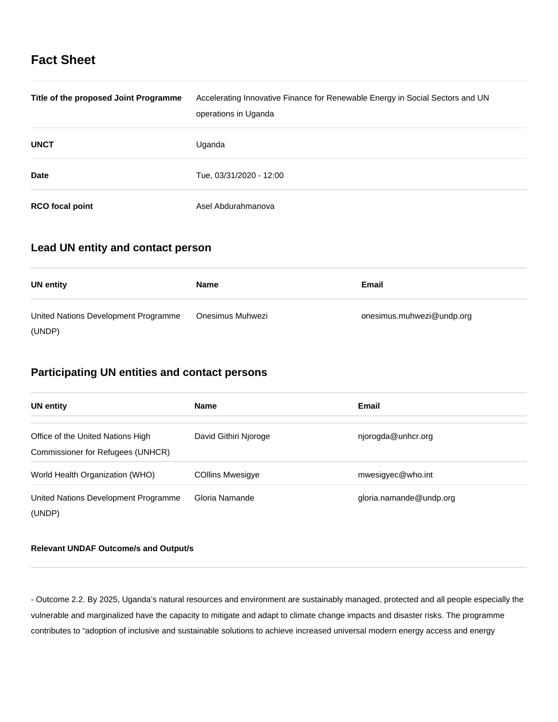# **Fact Sheet**

| Title of the proposed Joint Programme | Accelerating Innovative Finance for Renewable Energy in Social Sectors and UN<br>operations in Uganda |
|---------------------------------------|-------------------------------------------------------------------------------------------------------|
| <b>UNCT</b>                           | Uganda                                                                                                |
| <b>Date</b>                           | Tue, 03/31/2020 - 12:00                                                                               |
| <b>RCO</b> focal point                | Asel Abdurahmanova                                                                                    |

### **Lead UN entity and contact person**

| UN entity                            | <b>Name</b>      | Email                     |
|--------------------------------------|------------------|---------------------------|
| United Nations Development Programme | Onesimus Muhwezi | onesimus.muhwezi@undp.org |
| (UNDP)                               |                  |                           |

# **Participating UN entities and contact persons**

| <b>UN entity</b>                                                       | <b>Name</b>             | <b>Email</b>            |
|------------------------------------------------------------------------|-------------------------|-------------------------|
| Office of the United Nations High<br>Commissioner for Refugees (UNHCR) | David Githiri Njoroge   | njorogda@unhcr.org      |
| World Health Organization (WHO)                                        | <b>COllins Mwesigye</b> | mwesigyec@who.int       |
| United Nations Development Programme<br>(UNDP)                         | Gloria Namande          | gloria.namande@undp.org |

#### **Relevant UNDAF Outcome/s and Output/s**

- Outcome 2.2. By 2025, Uganda's natural resources and environment are sustainably managed, protected and all people especially the vulnerable and marginalized have the capacity to mitigate and adapt to climate change impacts and disaster risks. The programme contributes to "adoption of inclusive and sustainable solutions to achieve increased universal modern energy access and energy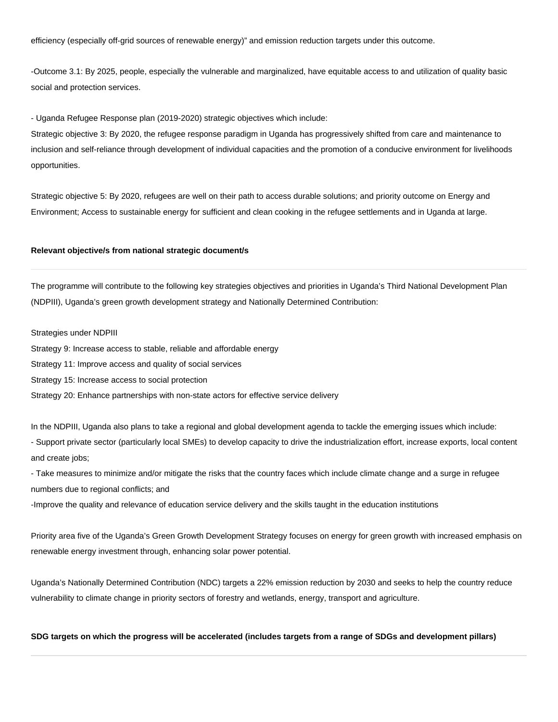efficiency (especially off-grid sources of renewable energy)" and emission reduction targets under this outcome.

-Outcome 3.1: By 2025, people, especially the vulnerable and marginalized, have equitable access to and utilization of quality basic social and protection services.

- Uganda Refugee Response plan (2019-2020) strategic objectives which include:

Strategic objective 3: By 2020, the refugee response paradigm in Uganda has progressively shifted from care and maintenance to inclusion and self-reliance through development of individual capacities and the promotion of a conducive environment for livelihoods opportunities.

Strategic objective 5: By 2020, refugees are well on their path to access durable solutions; and priority outcome on Energy and Environment; Access to sustainable energy for sufficient and clean cooking in the refugee settlements and in Uganda at large.

#### **Relevant objective/s from national strategic document/s**

The programme will contribute to the following key strategies objectives and priorities in Uganda's Third National Development Plan (NDPIII), Uganda's green growth development strategy and Nationally Determined Contribution:

Strategies under NDPIII

Strategy 9: Increase access to stable, reliable and affordable energy

Strategy 11: Improve access and quality of social services

Strategy 15: Increase access to social protection

Strategy 20: Enhance partnerships with non-state actors for effective service delivery

In the NDPIII, Uganda also plans to take a regional and global development agenda to tackle the emerging issues which include:

- Support private sector (particularly local SMEs) to develop capacity to drive the industrialization effort, increase exports, local content and create jobs:

- Take measures to minimize and/or mitigate the risks that the country faces which include climate change and a surge in refugee numbers due to regional conflicts; and

-Improve the quality and relevance of education service delivery and the skills taught in the education institutions

Priority area five of the Uganda's Green Growth Development Strategy focuses on energy for green growth with increased emphasis on renewable energy investment through, enhancing solar power potential.

Uganda's Nationally Determined Contribution (NDC) targets a 22% emission reduction by 2030 and seeks to help the country reduce vulnerability to climate change in priority sectors of forestry and wetlands, energy, transport and agriculture.

#### **SDG targets on which the progress will be accelerated (includes targets from a range of SDGs and development pillars)**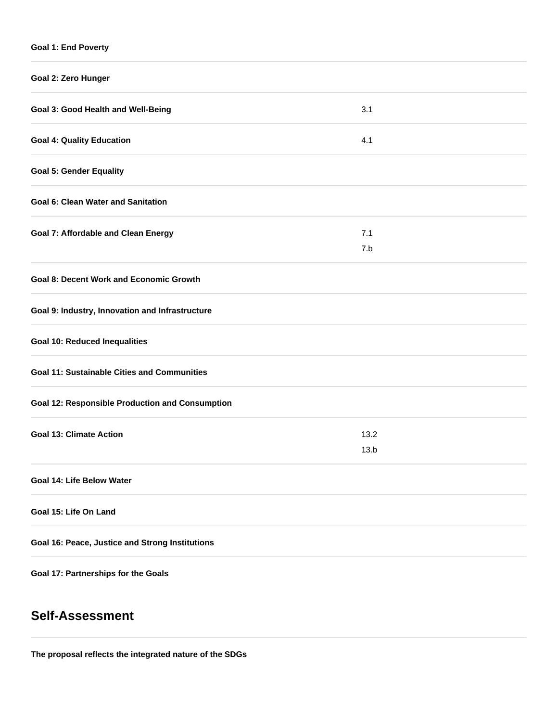### **Goal 1: End Poverty**

| Goal 2: Zero Hunger                                    |              |
|--------------------------------------------------------|--------------|
| Goal 3: Good Health and Well-Being                     | 3.1          |
| <b>Goal 4: Quality Education</b>                       | 4.1          |
| <b>Goal 5: Gender Equality</b>                         |              |
| <b>Goal 6: Clean Water and Sanitation</b>              |              |
| <b>Goal 7: Affordable and Clean Energy</b>             | 7.1<br>7.b   |
| <b>Goal 8: Decent Work and Economic Growth</b>         |              |
| Goal 9: Industry, Innovation and Infrastructure        |              |
| <b>Goal 10: Reduced Inequalities</b>                   |              |
| <b>Goal 11: Sustainable Cities and Communities</b>     |              |
| <b>Goal 12: Responsible Production and Consumption</b> |              |
| <b>Goal 13: Climate Action</b>                         | 13.2<br>13.b |
| Goal 14: Life Below Water                              |              |
| Goal 15: Life On Land                                  |              |
| Goal 16: Peace, Justice and Strong Institutions        |              |
| Goal 17: Partnerships for the Goals                    |              |

# **Self-Assessment**

**The proposal reflects the integrated nature of the SDGs**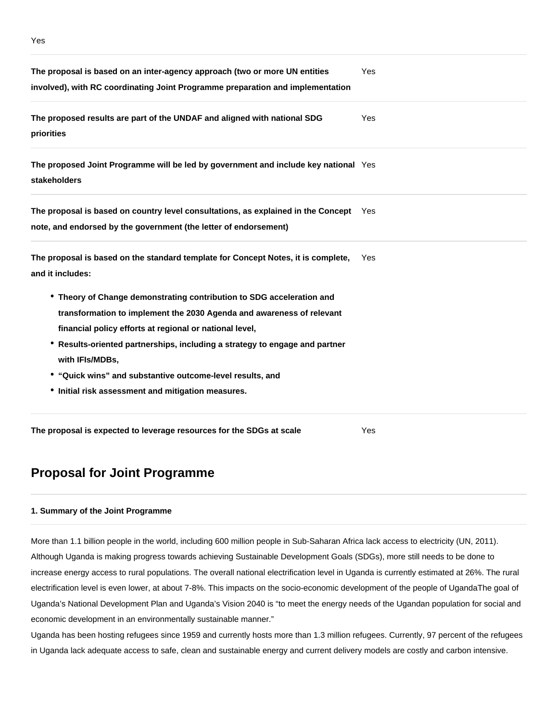| The proposal is based on an inter-agency approach (two or more UN entities<br>involved), with RC coordinating Joint Programme preparation and implementation | Yes |  |  |  |
|--------------------------------------------------------------------------------------------------------------------------------------------------------------|-----|--|--|--|
| The proposed results are part of the UNDAF and aligned with national SDG<br>priorities                                                                       | Yes |  |  |  |
| The proposed Joint Programme will be led by government and include key national Yes<br><b>stakeholders</b>                                                   |     |  |  |  |
| The proposal is based on country level consultations, as explained in the Concept Yes<br>note, and endorsed by the government (the letter of endorsement)    |     |  |  |  |
| The proposal is based on the standard template for Concept Notes, it is complete,<br>and it includes:                                                        | Yes |  |  |  |
| • Theory of Change demonstrating contribution to SDG acceleration and                                                                                        |     |  |  |  |
| transformation to implement the 2030 Agenda and awareness of relevant                                                                                        |     |  |  |  |
| financial policy efforts at regional or national level,                                                                                                      |     |  |  |  |
| * Results-oriented partnerships, including a strategy to engage and partner                                                                                  |     |  |  |  |
| with IFIs/MDBs,                                                                                                                                              |     |  |  |  |
| • "Quick wins" and substantive outcome-level results, and                                                                                                    |     |  |  |  |
| • Initial risk assessment and mitigation measures.                                                                                                           |     |  |  |  |
|                                                                                                                                                              |     |  |  |  |

**The proposal is expected to leverage resources for the SDGs at scale** Yes

# **Proposal for Joint Programme**

#### **1. Summary of the Joint Programme**

More than 1.1 billion people in the world, including 600 million people in Sub-Saharan Africa lack access to electricity (UN, 2011). Although Uganda is making progress towards achieving Sustainable Development Goals (SDGs), more still needs to be done to increase energy access to rural populations. The overall national electrification level in Uganda is currently estimated at 26%. The rural electrification level is even lower, at about 7-8%. This impacts on the socio-economic development of the people of UgandaThe goal of Uganda's National Development Plan and Uganda's Vision 2040 is "to meet the energy needs of the Ugandan population for social and economic development in an environmentally sustainable manner."

Uganda has been hosting refugees since 1959 and currently hosts more than 1.3 million refugees. Currently, 97 percent of the refugees in Uganda lack adequate access to safe, clean and sustainable energy and current delivery models are costly and carbon intensive.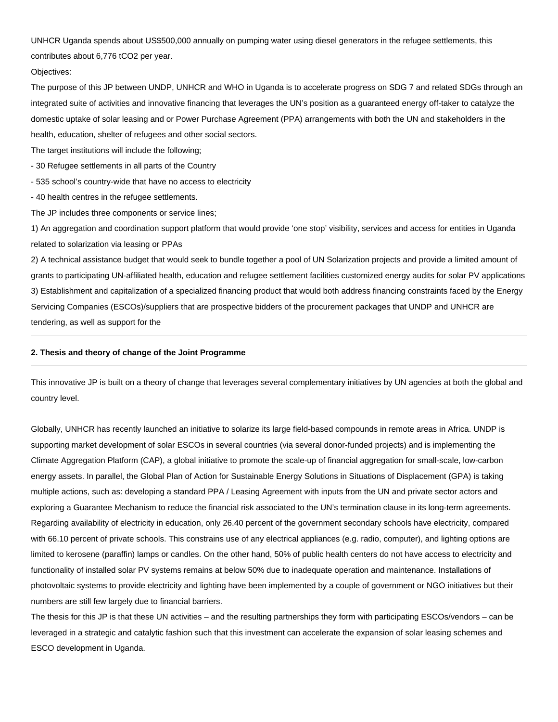UNHCR Uganda spends about US\$500,000 annually on pumping water using diesel generators in the refugee settlements, this contributes about 6,776 tCO2 per year.

#### Objectives:

The purpose of this JP between UNDP, UNHCR and WHO in Uganda is to accelerate progress on SDG 7 and related SDGs through an integrated suite of activities and innovative financing that leverages the UN's position as a guaranteed energy off-taker to catalyze the domestic uptake of solar leasing and or Power Purchase Agreement (PPA) arrangements with both the UN and stakeholders in the health, education, shelter of refugees and other social sectors.

The target institutions will include the following;

- 30 Refugee settlements in all parts of the Country

- 535 school's country-wide that have no access to electricity

- 40 health centres in the refugee settlements.

The JP includes three components or service lines;

1) An aggregation and coordination support platform that would provide 'one stop' visibility, services and access for entities in Uganda related to solarization via leasing or PPAs

2) A technical assistance budget that would seek to bundle together a pool of UN Solarization projects and provide a limited amount of grants to participating UN-affiliated health, education and refugee settlement facilities customized energy audits for solar PV applications 3) Establishment and capitalization of a specialized financing product that would both address financing constraints faced by the Energy Servicing Companies (ESCOs)/suppliers that are prospective bidders of the procurement packages that UNDP and UNHCR are tendering, as well as support for the

#### **2. Thesis and theory of change of the Joint Programme**

This innovative JP is built on a theory of change that leverages several complementary initiatives by UN agencies at both the global and country level.

Globally, UNHCR has recently launched an initiative to solarize its large field-based compounds in remote areas in Africa. UNDP is supporting market development of solar ESCOs in several countries (via several donor-funded projects) and is implementing the Climate Aggregation Platform (CAP), a global initiative to promote the scale-up of financial aggregation for small-scale, low-carbon energy assets. In parallel, the Global Plan of Action for Sustainable Energy Solutions in Situations of Displacement (GPA) is taking multiple actions, such as: developing a standard PPA / Leasing Agreement with inputs from the UN and private sector actors and exploring a Guarantee Mechanism to reduce the financial risk associated to the UN's termination clause in its long-term agreements. Regarding availability of electricity in education, only 26.40 percent of the government secondary schools have electricity, compared with 66.10 percent of private schools. This constrains use of any electrical appliances (e.g. radio, computer), and lighting options are limited to kerosene (paraffin) lamps or candles. On the other hand, 50% of public health centers do not have access to electricity and functionality of installed solar PV systems remains at below 50% due to inadequate operation and maintenance. Installations of photovoltaic systems to provide electricity and lighting have been implemented by a couple of government or NGO initiatives but their numbers are still few largely due to financial barriers.

The thesis for this JP is that these UN activities – and the resulting partnerships they form with participating ESCOs/vendors – can be leveraged in a strategic and catalytic fashion such that this investment can accelerate the expansion of solar leasing schemes and ESCO development in Uganda.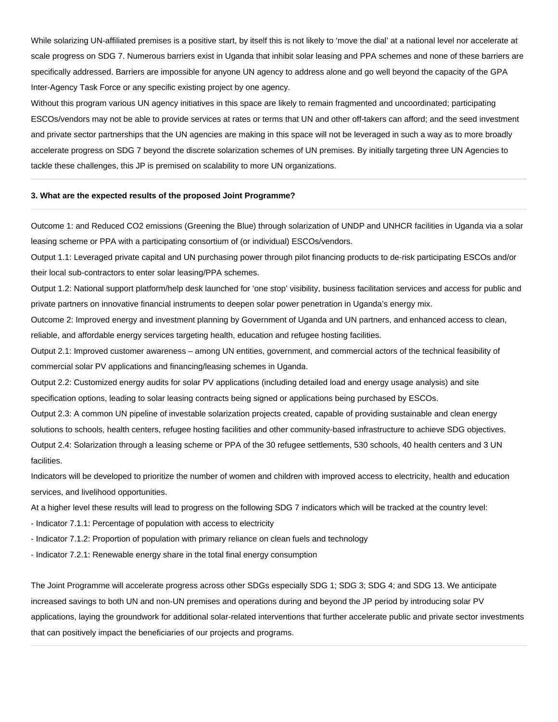While solarizing UN-affiliated premises is a positive start, by itself this is not likely to 'move the dial' at a national level nor accelerate at scale progress on SDG 7. Numerous barriers exist in Uganda that inhibit solar leasing and PPA schemes and none of these barriers are specifically addressed. Barriers are impossible for anyone UN agency to address alone and go well beyond the capacity of the GPA Inter-Agency Task Force or any specific existing project by one agency.

Without this program various UN agency initiatives in this space are likely to remain fragmented and uncoordinated; participating ESCOs/vendors may not be able to provide services at rates or terms that UN and other off-takers can afford; and the seed investment and private sector partnerships that the UN agencies are making in this space will not be leveraged in such a way as to more broadly accelerate progress on SDG 7 beyond the discrete solarization schemes of UN premises. By initially targeting three UN Agencies to tackle these challenges, this JP is premised on scalability to more UN organizations.

#### **3. What are the expected results of the proposed Joint Programme?**

Outcome 1: and Reduced CO2 emissions (Greening the Blue) through solarization of UNDP and UNHCR facilities in Uganda via a solar leasing scheme or PPA with a participating consortium of (or individual) ESCOs/vendors.

Output 1.1: Leveraged private capital and UN purchasing power through pilot financing products to de-risk participating ESCOs and/or their local sub-contractors to enter solar leasing/PPA schemes.

Output 1.2: National support platform/help desk launched for 'one stop' visibility, business facilitation services and access for public and private partners on innovative financial instruments to deepen solar power penetration in Uganda's energy mix.

Outcome 2: Improved energy and investment planning by Government of Uganda and UN partners, and enhanced access to clean, reliable, and affordable energy services targeting health, education and refugee hosting facilities.

Output 2.1: Improved customer awareness – among UN entities, government, and commercial actors of the technical feasibility of commercial solar PV applications and financing/leasing schemes in Uganda.

Output 2.2: Customized energy audits for solar PV applications (including detailed load and energy usage analysis) and site specification options, leading to solar leasing contracts being signed or applications being purchased by ESCOs.

Output 2.3: A common UN pipeline of investable solarization projects created, capable of providing sustainable and clean energy solutions to schools, health centers, refugee hosting facilities and other community-based infrastructure to achieve SDG objectives. Output 2.4: Solarization through a leasing scheme or PPA of the 30 refugee settlements, 530 schools, 40 health centers and 3 UN facilities.

Indicators will be developed to prioritize the number of women and children with improved access to electricity, health and education services, and livelihood opportunities.

At a higher level these results will lead to progress on the following SDG 7 indicators which will be tracked at the country level:

- Indicator 7.1.1: Percentage of population with access to electricity
- Indicator 7.1.2: Proportion of population with primary reliance on clean fuels and technology
- Indicator 7.2.1: Renewable energy share in the total final energy consumption

The Joint Programme will accelerate progress across other SDGs especially SDG 1; SDG 3; SDG 4; and SDG 13. We anticipate increased savings to both UN and non-UN premises and operations during and beyond the JP period by introducing solar PV applications, laying the groundwork for additional solar-related interventions that further accelerate public and private sector investments that can positively impact the beneficiaries of our projects and programs.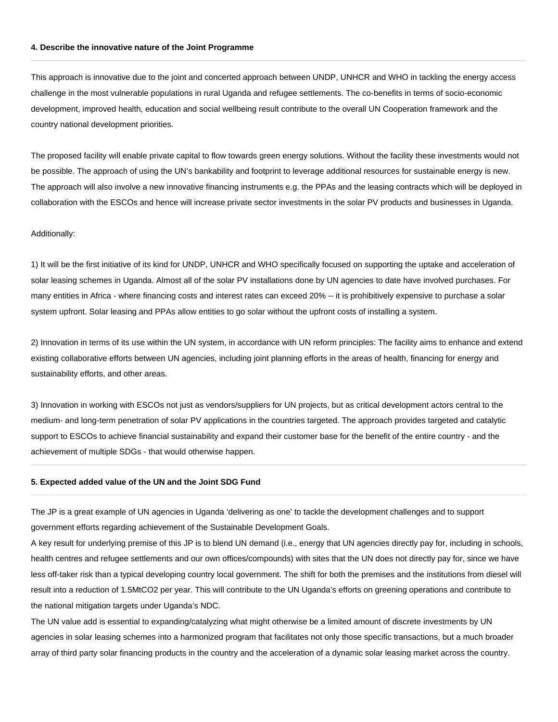#### **4. Describe the innovative nature of the Joint Programme**

This approach is innovative due to the joint and concerted approach between UNDP, UNHCR and WHO in tackling the energy access challenge in the most vulnerable populations in rural Uganda and refugee settlements. The co-benefits in terms of socio-economic development, improved health, education and social wellbeing result contribute to the overall UN Cooperation framework and the country national development priorities.

The proposed facility will enable private capital to flow towards green energy solutions. Without the facility these investments would not be possible. The approach of using the UN's bankability and footprint to leverage additional resources for sustainable energy is new. The approach will also involve a new innovative financing instruments e.g. the PPAs and the leasing contracts which will be deployed in collaboration with the ESCOs and hence will increase private sector investments in the solar PV products and businesses in Uganda.

#### Additionally:

1) It will be the first initiative of its kind for UNDP, UNHCR and WHO specifically focused on supporting the uptake and acceleration of solar leasing schemes in Uganda. Almost all of the solar PV installations done by UN agencies to date have involved purchases. For many entities in Africa - where financing costs and interest rates can exceed 20% -- it is prohibitively expensive to purchase a solar system upfront. Solar leasing and PPAs allow entities to go solar without the upfront costs of installing a system.

2) Innovation in terms of its use within the UN system, in accordance with UN reform principles: The facility aims to enhance and extend existing collaborative efforts between UN agencies, including joint planning efforts in the areas of health, financing for energy and sustainability efforts, and other areas.

3) Innovation in working with ESCOs not just as vendors/suppliers for UN projects, but as critical development actors central to the medium- and long-term penetration of solar PV applications in the countries targeted. The approach provides targeted and catalytic support to ESCOs to achieve financial sustainability and expand their customer base for the benefit of the entire country - and the achievement of multiple SDGs - that would otherwise happen.

#### **5. Expected added value of the UN and the Joint SDG Fund**

The JP is a great example of UN agencies in Uganda 'delivering as one' to tackle the development challenges and to support government efforts regarding achievement of the Sustainable Development Goals.

A key result for underlying premise of this JP is to blend UN demand (i.e., energy that UN agencies directly pay for, including in schools, health centres and refugee settlements and our own offices/compounds) with sites that the UN does not directly pay for, since we have less off-taker risk than a typical developing country local government. The shift for both the premises and the institutions from diesel will result into a reduction of 1.5MtCO2 per year. This will contribute to the UN Uganda's efforts on greening operations and contribute to the national mitigation targets under Uganda's NDC.

The UN value add is essential to expanding/catalyzing what might otherwise be a limited amount of discrete investments by UN agencies in solar leasing schemes into a harmonized program that facilitates not only those specific transactions, but a much broader array of third party solar financing products in the country and the acceleration of a dynamic solar leasing market across the country.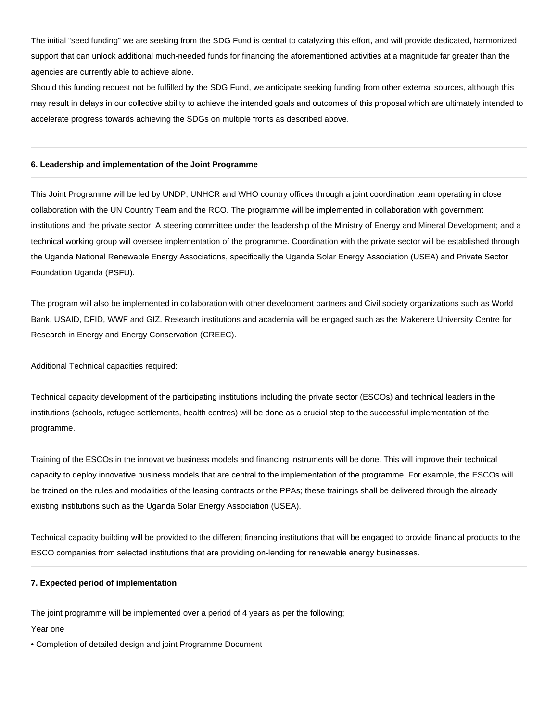The initial "seed funding" we are seeking from the SDG Fund is central to catalyzing this effort, and will provide dedicated, harmonized support that can unlock additional much-needed funds for financing the aforementioned activities at a magnitude far greater than the agencies are currently able to achieve alone.

Should this funding request not be fulfilled by the SDG Fund, we anticipate seeking funding from other external sources, although this may result in delays in our collective ability to achieve the intended goals and outcomes of this proposal which are ultimately intended to accelerate progress towards achieving the SDGs on multiple fronts as described above.

#### **6. Leadership and implementation of the Joint Programme**

This Joint Programme will be led by UNDP, UNHCR and WHO country offices through a joint coordination team operating in close collaboration with the UN Country Team and the RCO. The programme will be implemented in collaboration with government institutions and the private sector. A steering committee under the leadership of the Ministry of Energy and Mineral Development; and a technical working group will oversee implementation of the programme. Coordination with the private sector will be established through the Uganda National Renewable Energy Associations, specifically the Uganda Solar Energy Association (USEA) and Private Sector Foundation Uganda (PSFU).

The program will also be implemented in collaboration with other development partners and Civil society organizations such as World Bank, USAID, DFID, WWF and GIZ. Research institutions and academia will be engaged such as the Makerere University Centre for Research in Energy and Energy Conservation (CREEC).

Additional Technical capacities required:

Technical capacity development of the participating institutions including the private sector (ESCOs) and technical leaders in the institutions (schools, refugee settlements, health centres) will be done as a crucial step to the successful implementation of the programme.

Training of the ESCOs in the innovative business models and financing instruments will be done. This will improve their technical capacity to deploy innovative business models that are central to the implementation of the programme. For example, the ESCOs will be trained on the rules and modalities of the leasing contracts or the PPAs; these trainings shall be delivered through the already existing institutions such as the Uganda Solar Energy Association (USEA).

Technical capacity building will be provided to the different financing institutions that will be engaged to provide financial products to the ESCO companies from selected institutions that are providing on-lending for renewable energy businesses.

#### **7. Expected period of implementation**

The joint programme will be implemented over a period of 4 years as per the following;

Year one

• Completion of detailed design and joint Programme Document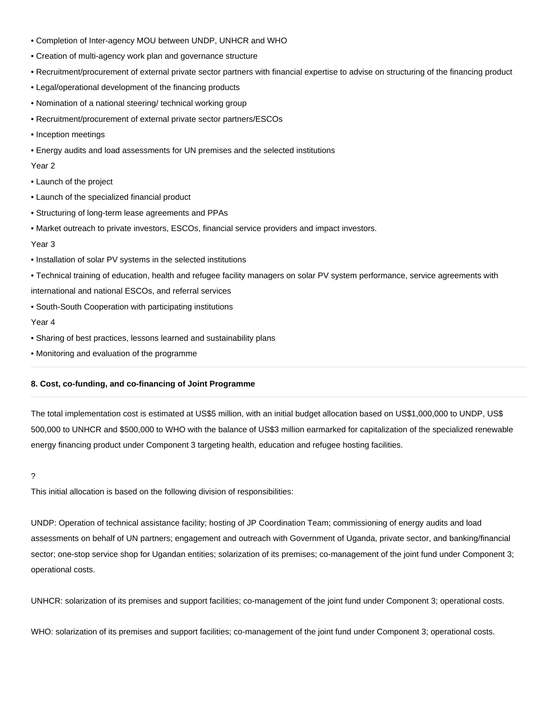- Completion of Inter-agency MOU between UNDP, UNHCR and WHO
- Creation of multi-agency work plan and governance structure
- Recruitment/procurement of external private sector partners with financial expertise to advise on structuring of the financing product
- Legal/operational development of the financing products
- Nomination of a national steering/ technical working group
- Recruitment/procurement of external private sector partners/ESCOs
- Inception meetings
- Energy audits and load assessments for UN premises and the selected institutions

Year 2

- Launch of the project
- Launch of the specialized financial product
- Structuring of long-term lease agreements and PPAs
- Market outreach to private investors, ESCOs, financial service providers and impact investors.

#### Year 3

- Installation of solar PV systems in the selected institutions
- Technical training of education, health and refugee facility managers on solar PV system performance, service agreements with

international and national ESCOs, and referral services

• South-South Cooperation with participating institutions

#### Year 4

- Sharing of best practices, lessons learned and sustainability plans
- Monitoring and evaluation of the programme

#### **8. Cost, co-funding, and co-financing of Joint Programme**

The total implementation cost is estimated at US\$5 million, with an initial budget allocation based on US\$1,000,000 to UNDP, US\$ 500,000 to UNHCR and \$500,000 to WHO with the balance of US\$3 million earmarked for capitalization of the specialized renewable energy financing product under Component 3 targeting health, education and refugee hosting facilities.

#### ?

This initial allocation is based on the following division of responsibilities:

UNDP: Operation of technical assistance facility; hosting of JP Coordination Team; commissioning of energy audits and load assessments on behalf of UN partners; engagement and outreach with Government of Uganda, private sector, and banking/financial sector; one-stop service shop for Ugandan entities; solarization of its premises; co-management of the joint fund under Component 3; operational costs.

UNHCR: solarization of its premises and support facilities; co-management of the joint fund under Component 3; operational costs.

WHO: solarization of its premises and support facilities; co-management of the joint fund under Component 3; operational costs.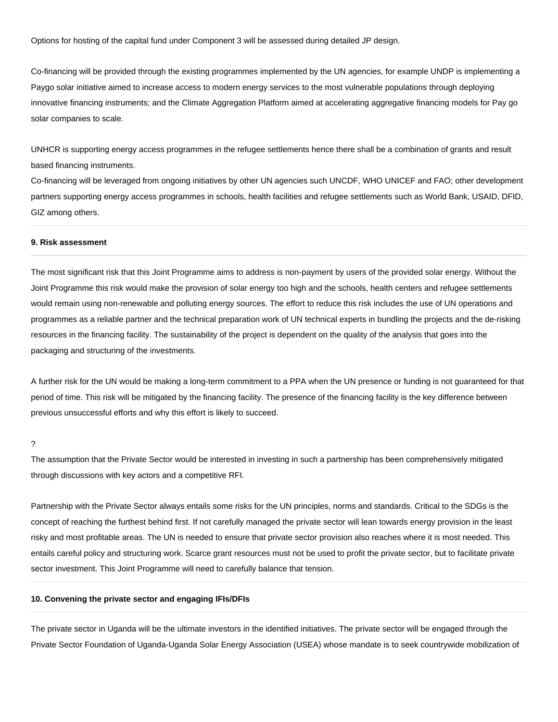Options for hosting of the capital fund under Component 3 will be assessed during detailed JP design.

Co-financing will be provided through the existing programmes implemented by the UN agencies, for example UNDP is implementing a Paygo solar initiative aimed to increase access to modern energy services to the most vulnerable populations through deploying innovative financing instruments; and the Climate Aggregation Platform aimed at accelerating aggregative financing models for Pay go solar companies to scale.

UNHCR is supporting energy access programmes in the refugee settlements hence there shall be a combination of grants and result based financing instruments.

Co-financing will be leveraged from ongoing initiatives by other UN agencies such UNCDF, WHO UNICEF and FAO; other development partners supporting energy access programmes in schools, health facilities and refugee settlements such as World Bank, USAID, DFID, GIZ among others.

#### **9. Risk assessment**

The most significant risk that this Joint Programme aims to address is non-payment by users of the provided solar energy. Without the Joint Programme this risk would make the provision of solar energy too high and the schools, health centers and refugee settlements would remain using non-renewable and polluting energy sources. The effort to reduce this risk includes the use of UN operations and programmes as a reliable partner and the technical preparation work of UN technical experts in bundling the projects and the de-risking resources in the financing facility. The sustainability of the project is dependent on the quality of the analysis that goes into the packaging and structuring of the investments.

A further risk for the UN would be making a long-term commitment to a PPA when the UN presence or funding is not guaranteed for that period of time. This risk will be mitigated by the financing facility. The presence of the financing facility is the key difference between previous unsuccessful efforts and why this effort is likely to succeed.

?

The assumption that the Private Sector would be interested in investing in such a partnership has been comprehensively mitigated through discussions with key actors and a competitive RFI.

Partnership with the Private Sector always entails some risks for the UN principles, norms and standards. Critical to the SDGs is the concept of reaching the furthest behind first. If not carefully managed the private sector will lean towards energy provision in the least risky and most profitable areas. The UN is needed to ensure that private sector provision also reaches where it is most needed. This entails careful policy and structuring work. Scarce grant resources must not be used to profit the private sector, but to facilitate private sector investment. This Joint Programme will need to carefully balance that tension.

#### **10. Convening the private sector and engaging IFIs/DFIs**

The private sector in Uganda will be the ultimate investors in the identified initiatives. The private sector will be engaged through the Private Sector Foundation of Uganda-Uganda Solar Energy Association (USEA) whose mandate is to seek countrywide mobilization of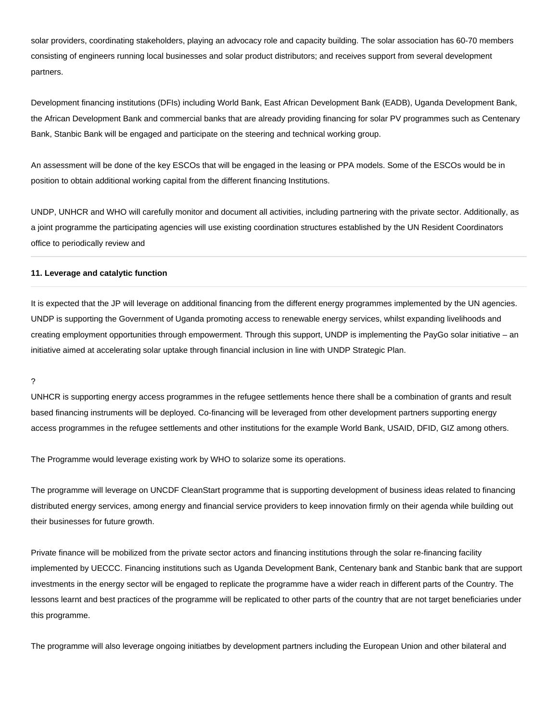solar providers, coordinating stakeholders, playing an advocacy role and capacity building. The solar association has 60-70 members consisting of engineers running local businesses and solar product distributors; and receives support from several development partners.

Development financing institutions (DFIs) including World Bank, East African Development Bank (EADB), Uganda Development Bank, the African Development Bank and commercial banks that are already providing financing for solar PV programmes such as Centenary Bank, Stanbic Bank will be engaged and participate on the steering and technical working group.

An assessment will be done of the key ESCOs that will be engaged in the leasing or PPA models. Some of the ESCOs would be in position to obtain additional working capital from the different financing Institutions.

UNDP, UNHCR and WHO will carefully monitor and document all activities, including partnering with the private sector. Additionally, as a joint programme the participating agencies will use existing coordination structures established by the UN Resident Coordinators office to periodically review and

#### **11. Leverage and catalytic function**

It is expected that the JP will leverage on additional financing from the different energy programmes implemented by the UN agencies. UNDP is supporting the Government of Uganda promoting access to renewable energy services, whilst expanding livelihoods and creating employment opportunities through empowerment. Through this support, UNDP is implementing the PayGo solar initiative – an initiative aimed at accelerating solar uptake through financial inclusion in line with UNDP Strategic Plan.

?

UNHCR is supporting energy access programmes in the refugee settlements hence there shall be a combination of grants and result based financing instruments will be deployed. Co-financing will be leveraged from other development partners supporting energy access programmes in the refugee settlements and other institutions for the example World Bank, USAID, DFID, GIZ among others.

The Programme would leverage existing work by WHO to solarize some its operations.

The programme will leverage on UNCDF CleanStart programme that is supporting development of business ideas related to financing distributed energy services, among energy and financial service providers to keep innovation firmly on their agenda while building out their businesses for future growth.

Private finance will be mobilized from the private sector actors and financing institutions through the solar re-financing facility implemented by UECCC. Financing institutions such as Uganda Development Bank, Centenary bank and Stanbic bank that are support investments in the energy sector will be engaged to replicate the programme have a wider reach in different parts of the Country. The lessons learnt and best practices of the programme will be replicated to other parts of the country that are not target beneficiaries under this programme.

The programme will also leverage ongoing initiatbes by development partners including the European Union and other bilateral and